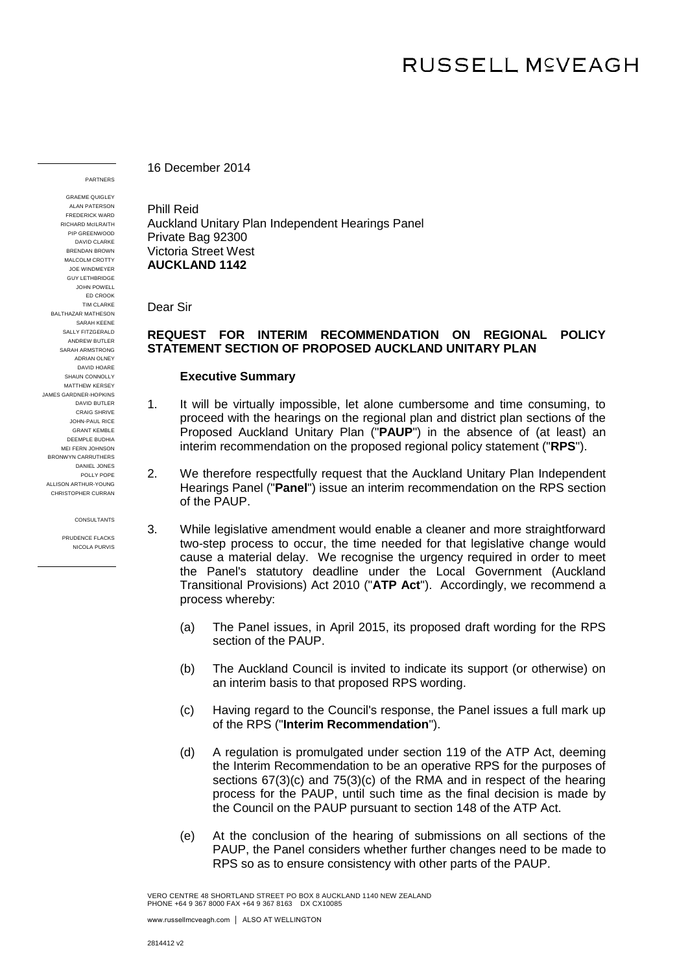# RUSSELL M<sup>C</sup>VEAGH

16 December 2014

Phill Reid Auckland Unitary Plan Independent Hearings Panel Private Bag 92300 Victoria Street West **AUCKLAND 1142**

Dear Sir

# **REQUEST FOR INTERIM RECOMMENDATION ON REGIONAL POLICY STATEMENT SECTION OF PROPOSED AUCKLAND UNITARY PLAN**

## **Executive Summary**

- 1. It will be virtually impossible, let alone cumbersome and time consuming, to proceed with the hearings on the regional plan and district plan sections of the Proposed Auckland Unitary Plan ("**PAUP**") in the absence of (at least) an interim recommendation on the proposed regional policy statement ("**RPS**").
- 2. We therefore respectfully request that the Auckland Unitary Plan Independent Hearings Panel ("**Panel**") issue an interim recommendation on the RPS section of the PAUP.
- 3. While legislative amendment would enable a cleaner and more straightforward two-step process to occur, the time needed for that legislative change would cause a material delay. We recognise the urgency required in order to meet the Panel's statutory deadline under the Local Government (Auckland Transitional Provisions) Act 2010 ("**ATP Act**"). Accordingly, we recommend a process whereby:
	- (a) The Panel issues, in April 2015, its proposed draft wording for the RPS section of the PAUP.
	- (b) The Auckland Council is invited to indicate its support (or otherwise) on an interim basis to that proposed RPS wording.
	- (c) Having regard to the Council's response, the Panel issues a full mark up of the RPS ("**Interim Recommendation**").
	- (d) A regulation is promulgated under section 119 of the ATP Act, deeming the Interim Recommendation to be an operative RPS for the purposes of sections 67(3)(c) and 75(3)(c) of the RMA and in respect of the hearing process for the PAUP, until such time as the final decision is made by the Council on the PAUP pursuant to section 148 of the ATP Act.
	- (e) At the conclusion of the hearing of submissions on all sections of the PAUP, the Panel considers whether further changes need to be made to RPS so as to ensure consistency with other parts of the PAUP.

VERO CENTRE 48 SHORTLAND STREET PO BOX 8 AUCKLAND 1140 NEW ZEALAND PHONE +64 9 367 8000 FAX +64 9 367 8163 DX CX10085

PARTNERS GRAEME QUIGLEY

ALAN PATERSON FREDERICK WARD RICHARD McILRAITH PIP GREENWOOD DAVID CLARKE BRENDAN BROWN MALCOLM CROTTY JOE WINDMEYER GUY LETHBRIDGE JOHN POWELL ED CROOK TIM CLARKE BALTHAZAR MATHESON SARAH KEENE SALLY FITZGERALD ANDREW BUTLER SARAH ARMSTRONG ADRIAN OLNEY DAVID HOARE SHAUN CONNOLLY MATTHEW KERSEY JAMES GARDNER-HOPKINS DAVID BUTLER CRAIG SHRIVE JOHN-PAUL RICE GRANT KEMBLE DEEMPLE BUDHIA MEI FERN JOHNSON BRONWYN CARRUTHERS DANIEL JONES POLLY POPE ALLISON ARTHUR-YOUNG CHRISTOPHER CURRAN

CONSULTANTS

PRUDENCE FLACKS NICOLA PURVIS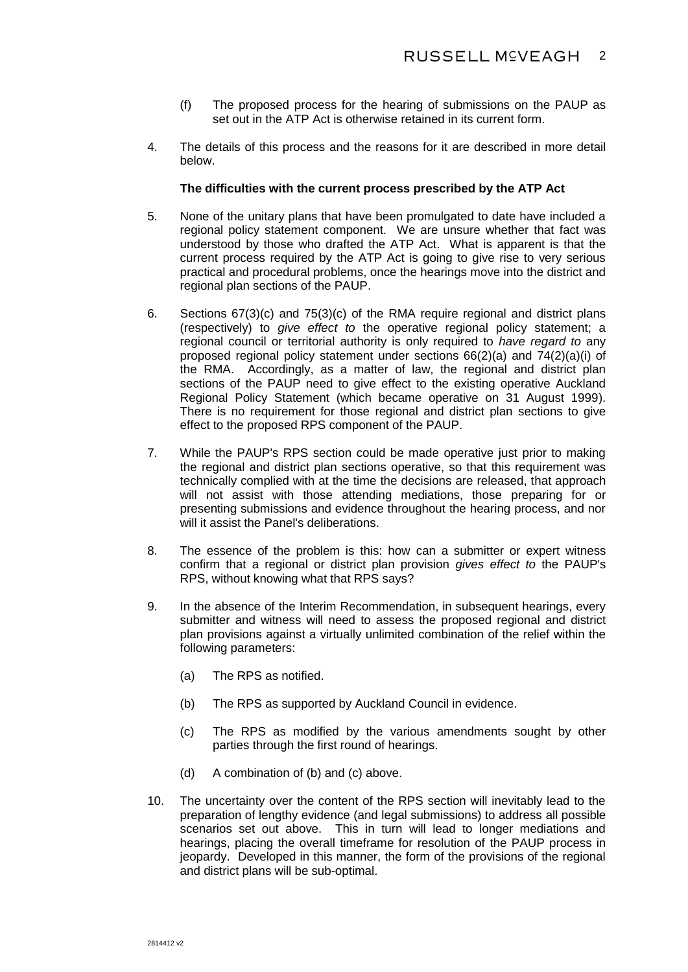- (f) The proposed process for the hearing of submissions on the PAUP as set out in the ATP Act is otherwise retained in its current form.
- 4. The details of this process and the reasons for it are described in more detail below.

## **The difficulties with the current process prescribed by the ATP Act**

- 5. None of the unitary plans that have been promulgated to date have included a regional policy statement component. We are unsure whether that fact was understood by those who drafted the ATP Act. What is apparent is that the current process required by the ATP Act is going to give rise to very serious practical and procedural problems, once the hearings move into the district and regional plan sections of the PAUP.
- 6. Sections 67(3)(c) and 75(3)(c) of the RMA require regional and district plans (respectively) to *give effect to* the operative regional policy statement; a regional council or territorial authority is only required to *have regard to* any proposed regional policy statement under sections 66(2)(a) and 74(2)(a)(i) of the RMA. Accordingly, as a matter of law, the regional and district plan sections of the PAUP need to give effect to the existing operative Auckland Regional Policy Statement (which became operative on 31 August 1999). There is no requirement for those regional and district plan sections to give effect to the proposed RPS component of the PAUP.
- 7. While the PAUP's RPS section could be made operative just prior to making the regional and district plan sections operative, so that this requirement was technically complied with at the time the decisions are released, that approach will not assist with those attending mediations, those preparing for or presenting submissions and evidence throughout the hearing process, and nor will it assist the Panel's deliberations.
- 8. The essence of the problem is this: how can a submitter or expert witness confirm that a regional or district plan provision *gives effect to* the PAUP's RPS, without knowing what that RPS says?
- 9. In the absence of the Interim Recommendation, in subsequent hearings, every submitter and witness will need to assess the proposed regional and district plan provisions against a virtually unlimited combination of the relief within the following parameters:
	- (a) The RPS as notified.
	- (b) The RPS as supported by Auckland Council in evidence.
	- (c) The RPS as modified by the various amendments sought by other parties through the first round of hearings.
	- (d) A combination of (b) and (c) above.
- 10. The uncertainty over the content of the RPS section will inevitably lead to the preparation of lengthy evidence (and legal submissions) to address all possible scenarios set out above. This in turn will lead to longer mediations and hearings, placing the overall timeframe for resolution of the PAUP process in jeopardy. Developed in this manner, the form of the provisions of the regional and district plans will be sub-optimal.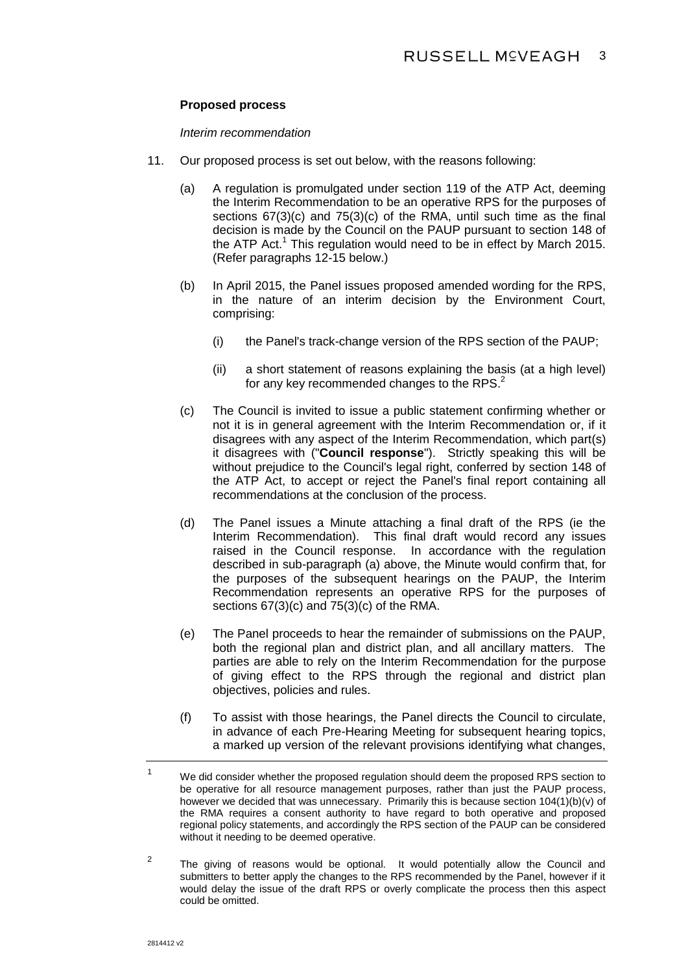## **Proposed process**

### *Interim recommendation*

- 11. Our proposed process is set out below, with the reasons following:
	- (a) A regulation is promulgated under section 119 of the ATP Act, deeming the Interim Recommendation to be an operative RPS for the purposes of sections 67(3)(c) and 75(3)(c) of the RMA, until such time as the final decision is made by the Council on the PAUP pursuant to section 148 of the ATP Act.<sup>1</sup> This regulation would need to be in effect by March 2015. (Refer paragraphs 12-15 below.)
	- (b) In April 2015, the Panel issues proposed amended wording for the RPS, in the nature of an interim decision by the Environment Court, comprising:
		- (i) the Panel's track-change version of the RPS section of the PAUP;
		- (ii) a short statement of reasons explaining the basis (at a high level) for any key recommended changes to the RPS.<sup>2</sup>
	- (c) The Council is invited to issue a public statement confirming whether or not it is in general agreement with the Interim Recommendation or, if it disagrees with any aspect of the Interim Recommendation, which part(s) it disagrees with ("**Council response**"). Strictly speaking this will be without prejudice to the Council's legal right, conferred by section 148 of the ATP Act, to accept or reject the Panel's final report containing all recommendations at the conclusion of the process.
	- (d) The Panel issues a Minute attaching a final draft of the RPS (ie the Interim Recommendation). This final draft would record any issues raised in the Council response. In accordance with the regulation described in sub-paragraph (a) above, the Minute would confirm that, for the purposes of the subsequent hearings on the PAUP, the Interim Recommendation represents an operative RPS for the purposes of sections 67(3)(c) and 75(3)(c) of the RMA.
	- (e) The Panel proceeds to hear the remainder of submissions on the PAUP, both the regional plan and district plan, and all ancillary matters. The parties are able to rely on the Interim Recommendation for the purpose of giving effect to the RPS through the regional and district plan objectives, policies and rules.
	- (f) To assist with those hearings, the Panel directs the Council to circulate, in advance of each Pre-Hearing Meeting for subsequent hearing topics, a marked up version of the relevant provisions identifying what changes,

<sup>&</sup>lt;sup>1</sup> We did consider whether the proposed regulation should deem the proposed RPS section to be operative for all resource management purposes, rather than just the PAUP process, however we decided that was unnecessary. Primarily this is because section 104(1)(b)(v) of the RMA requires a consent authority to have regard to both operative and proposed regional policy statements, and accordingly the RPS section of the PAUP can be considered without it needing to be deemed operative.

 $\mathfrak{p}$ The giving of reasons would be optional. It would potentially allow the Council and submitters to better apply the changes to the RPS recommended by the Panel, however if it would delay the issue of the draft RPS or overly complicate the process then this aspect could be omitted.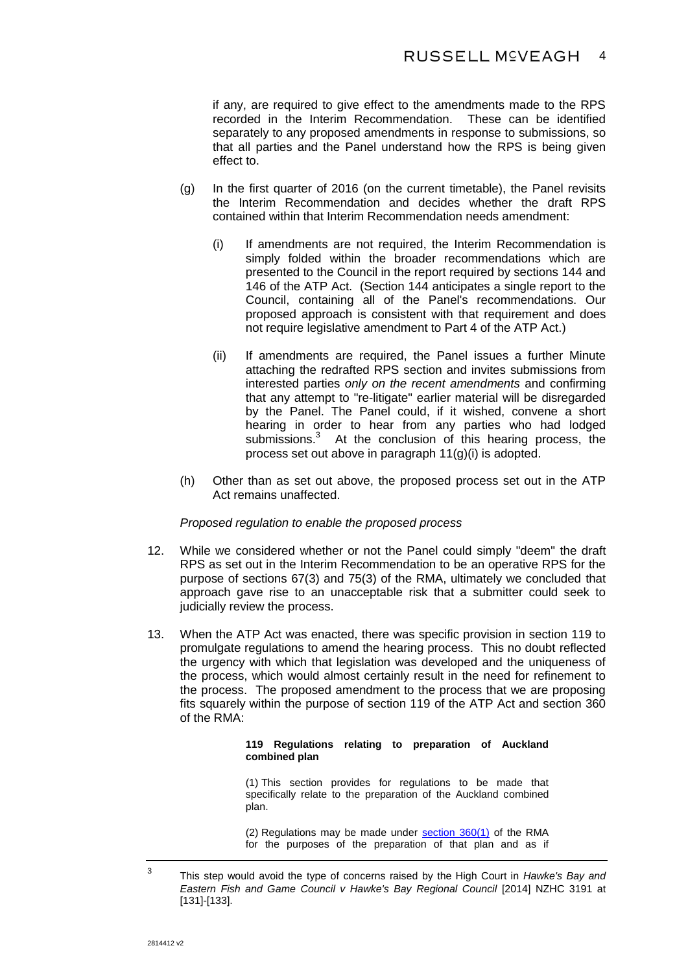if any, are required to give effect to the amendments made to the RPS recorded in the Interim Recommendation. These can be identified separately to any proposed amendments in response to submissions, so that all parties and the Panel understand how the RPS is being given effect to.

- (g) In the first quarter of 2016 (on the current timetable), the Panel revisits the Interim Recommendation and decides whether the draft RPS contained within that Interim Recommendation needs amendment:
	- (i) If amendments are not required, the Interim Recommendation is simply folded within the broader recommendations which are presented to the Council in the report required by sections 144 and 146 of the ATP Act. (Section 144 anticipates a single report to the Council, containing all of the Panel's recommendations. Our proposed approach is consistent with that requirement and does not require legislative amendment to Part 4 of the ATP Act.)
	- (ii) If amendments are required, the Panel issues a further Minute attaching the redrafted RPS section and invites submissions from interested parties *only on the recent amendments* and confirming that any attempt to "re-litigate" earlier material will be disregarded by the Panel. The Panel could, if it wished, convene a short hearing in order to hear from any parties who had lodged submissions.<sup>3</sup> At the conclusion of this hearing process, the process set out above in paragraph 11(g)(i) is adopted.
- (h) Other than as set out above, the proposed process set out in the ATP Act remains unaffected.

## *Proposed regulation to enable the proposed process*

- 12. While we considered whether or not the Panel could simply "deem" the draft RPS as set out in the Interim Recommendation to be an operative RPS for the purpose of sections 67(3) and 75(3) of the RMA, ultimately we concluded that approach gave rise to an unacceptable risk that a submitter could seek to judicially review the process.
- 13. When the ATP Act was enacted, there was specific provision in section 119 to promulgate regulations to amend the hearing process. This no doubt reflected the urgency with which that legislation was developed and the uniqueness of the process, which would almost certainly result in the need for refinement to the process. The proposed amendment to the process that we are proposing fits squarely within the purpose of section 119 of the ATP Act and section 360 of the RMA:

#### **119 Regulations relating to preparation of Auckland combined plan**

(1) This section provides for regulations to be made that specifically relate to the preparation of the Auckland combined plan.

(2) Regulations may be made under [section 360\(1\)](http://www.legislation.govt.nz/act/public/2010/0037/latest/link.aspx?id=DLM235494) of the RMA for the purposes of the preparation of that plan and as if

<sup>3</sup> This step would avoid the type of concerns raised by the High Court in *Hawke's Bay and Eastern Fish and Game Council v Hawke's Bay Regional Council* [2014] NZHC 3191 at [131]-[133].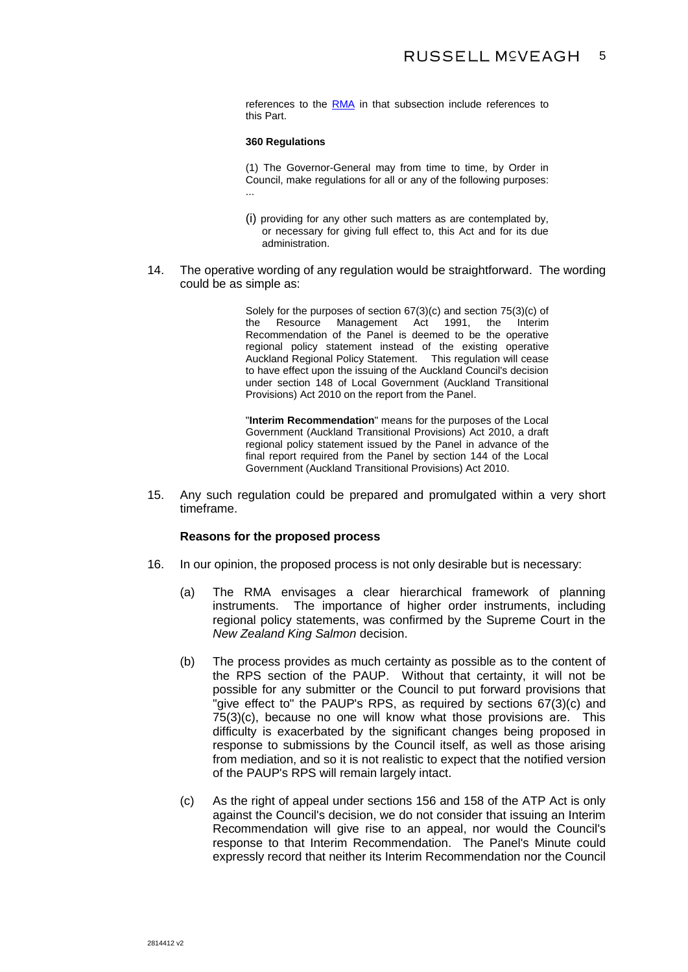references to the **RMA** in that subsection include references to this Part.

#### **360 Regulations**

(1) The Governor-General may from time to time, by Order in Council, make regulations for all or any of the following purposes: ...

- (i) providing for any other such matters as are contemplated by, or necessary for giving full effect to, this Act and for its due administration.
- 14. The operative wording of any regulation would be straightforward. The wording could be as simple as:

Solely for the purposes of section 67(3)(c) and section 75(3)(c) of the Resource Management Act 1991, the Interim Recommendation of the Panel is deemed to be the operative regional policy statement instead of the existing operative Auckland Regional Policy Statement. This regulation will cease to have effect upon the issuing of the Auckland Council's decision under section 148 of Local Government (Auckland Transitional Provisions) Act 2010 on the report from the Panel.

"**Interim Recommendation**" means for the purposes of the Local Government (Auckland Transitional Provisions) Act 2010, a draft regional policy statement issued by the Panel in advance of the final report required from the Panel by section 144 of the Local Government (Auckland Transitional Provisions) Act 2010.

15. Any such regulation could be prepared and promulgated within a very short timeframe.

#### **Reasons for the proposed process**

- 16. In our opinion, the proposed process is not only desirable but is necessary:
	- (a) The RMA envisages a clear hierarchical framework of planning instruments. The importance of higher order instruments, including regional policy statements, was confirmed by the Supreme Court in the *New Zealand King Salmon* decision.
	- (b) The process provides as much certainty as possible as to the content of the RPS section of the PAUP. Without that certainty, it will not be possible for any submitter or the Council to put forward provisions that "give effect to" the PAUP's RPS, as required by sections 67(3)(c) and 75(3)(c), because no one will know what those provisions are. This difficulty is exacerbated by the significant changes being proposed in response to submissions by the Council itself, as well as those arising from mediation, and so it is not realistic to expect that the notified version of the PAUP's RPS will remain largely intact.
	- (c) As the right of appeal under sections 156 and 158 of the ATP Act is only against the Council's decision, we do not consider that issuing an Interim Recommendation will give rise to an appeal, nor would the Council's response to that Interim Recommendation. The Panel's Minute could expressly record that neither its Interim Recommendation nor the Council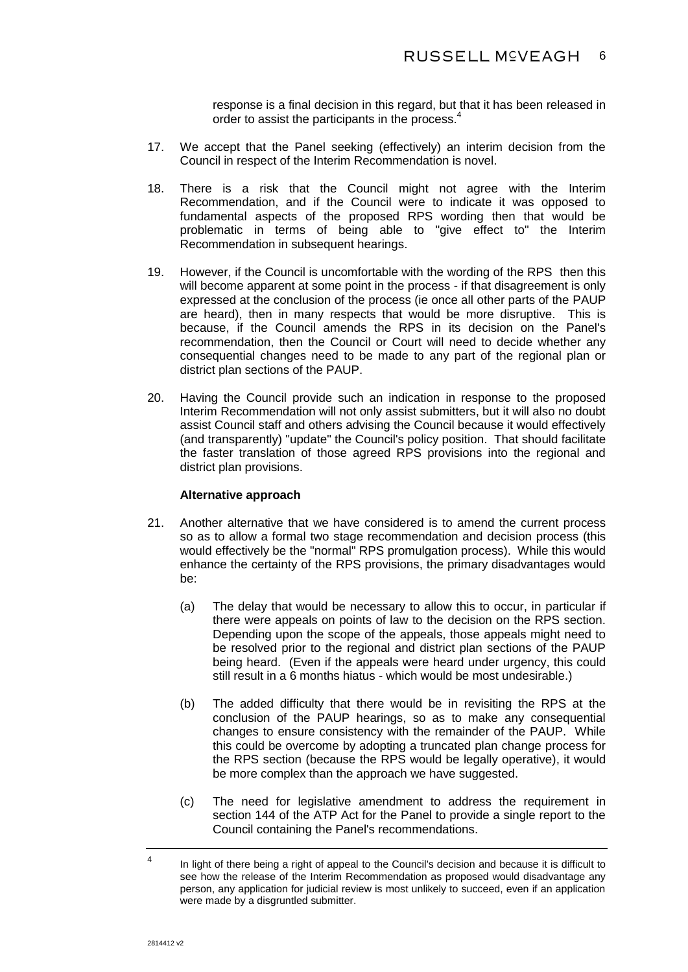response is a final decision in this regard, but that it has been released in order to assist the participants in the process.<sup>4</sup>

- 17. We accept that the Panel seeking (effectively) an interim decision from the Council in respect of the Interim Recommendation is novel.
- 18. There is a risk that the Council might not agree with the Interim Recommendation, and if the Council were to indicate it was opposed to fundamental aspects of the proposed RPS wording then that would be problematic in terms of being able to "give effect to" the Interim Recommendation in subsequent hearings.
- 19. However, if the Council is uncomfortable with the wording of the RPS then this will become apparent at some point in the process - if that disagreement is only expressed at the conclusion of the process (ie once all other parts of the PAUP are heard), then in many respects that would be more disruptive. This is because, if the Council amends the RPS in its decision on the Panel's recommendation, then the Council or Court will need to decide whether any consequential changes need to be made to any part of the regional plan or district plan sections of the PAUP.
- 20. Having the Council provide such an indication in response to the proposed Interim Recommendation will not only assist submitters, but it will also no doubt assist Council staff and others advising the Council because it would effectively (and transparently) "update" the Council's policy position. That should facilitate the faster translation of those agreed RPS provisions into the regional and district plan provisions.

## **Alternative approach**

- 21. Another alternative that we have considered is to amend the current process so as to allow a formal two stage recommendation and decision process (this would effectively be the "normal" RPS promulgation process). While this would enhance the certainty of the RPS provisions, the primary disadvantages would be:
	- (a) The delay that would be necessary to allow this to occur, in particular if there were appeals on points of law to the decision on the RPS section. Depending upon the scope of the appeals, those appeals might need to be resolved prior to the regional and district plan sections of the PAUP being heard. (Even if the appeals were heard under urgency, this could still result in a 6 months hiatus - which would be most undesirable.)
	- (b) The added difficulty that there would be in revisiting the RPS at the conclusion of the PAUP hearings, so as to make any consequential changes to ensure consistency with the remainder of the PAUP. While this could be overcome by adopting a truncated plan change process for the RPS section (because the RPS would be legally operative), it would be more complex than the approach we have suggested.
	- (c) The need for legislative amendment to address the requirement in section 144 of the ATP Act for the Panel to provide a single report to the Council containing the Panel's recommendations.

<sup>4</sup> In light of there being a right of appeal to the Council's decision and because it is difficult to see how the release of the Interim Recommendation as proposed would disadvantage any person, any application for judicial review is most unlikely to succeed, even if an application were made by a disgruntled submitter.